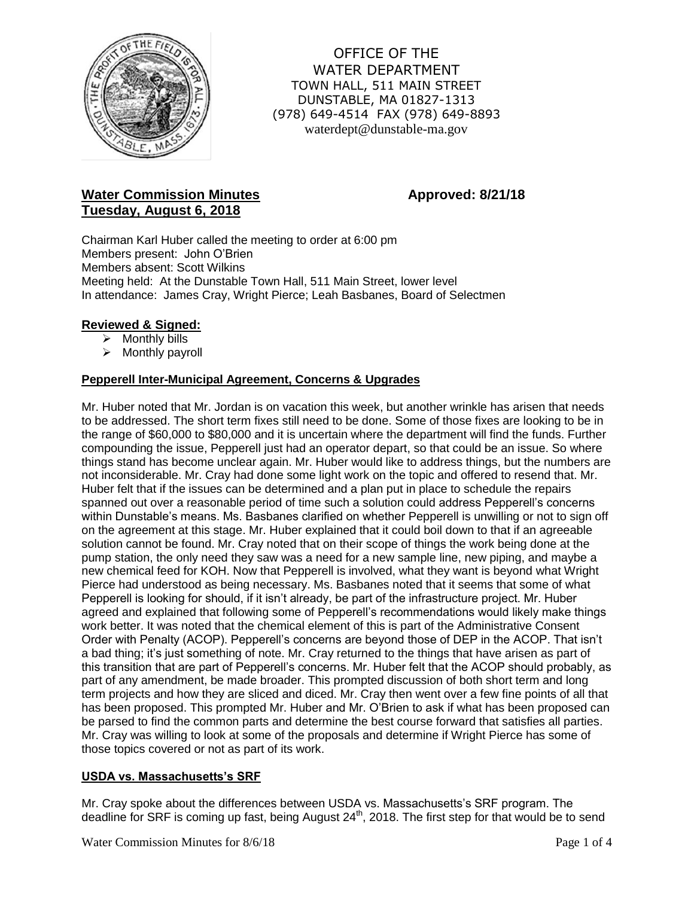

OFFICE OF THE WATER DEPARTMENT TOWN HALL, 511 MAIN STREET DUNSTABLE, MA 01827-1313 (978) 649-4514 FAX (978) 649-8893 waterdept@dunstable-ma.gov

# **Water Commission Minutes <b>Approved: 8/21/18 Tuesday, August 6, 2018**

Chairman Karl Huber called the meeting to order at 6:00 pm Members present: John O'Brien Members absent: Scott Wilkins Meeting held: At the Dunstable Town Hall, 511 Main Street, lower level In attendance: James Cray, Wright Pierce; Leah Basbanes, Board of Selectmen

## **Reviewed & Signed:**

- $\triangleright$  Monthly bills
- $\triangleright$  Monthly payroll

## **Pepperell Inter-Municipal Agreement, Concerns & Upgrades**

Mr. Huber noted that Mr. Jordan is on vacation this week, but another wrinkle has arisen that needs to be addressed. The short term fixes still need to be done. Some of those fixes are looking to be in the range of \$60,000 to \$80,000 and it is uncertain where the department will find the funds. Further compounding the issue, Pepperell just had an operator depart, so that could be an issue. So where things stand has become unclear again. Mr. Huber would like to address things, but the numbers are not inconsiderable. Mr. Cray had done some light work on the topic and offered to resend that. Mr. Huber felt that if the issues can be determined and a plan put in place to schedule the repairs spanned out over a reasonable period of time such a solution could address Pepperell's concerns within Dunstable's means. Ms. Basbanes clarified on whether Pepperell is unwilling or not to sign off on the agreement at this stage. Mr. Huber explained that it could boil down to that if an agreeable solution cannot be found. Mr. Cray noted that on their scope of things the work being done at the pump station, the only need they saw was a need for a new sample line, new piping, and maybe a new chemical feed for KOH. Now that Pepperell is involved, what they want is beyond what Wright Pierce had understood as being necessary. Ms. Basbanes noted that it seems that some of what Pepperell is looking for should, if it isn't already, be part of the infrastructure project. Mr. Huber agreed and explained that following some of Pepperell's recommendations would likely make things work better. It was noted that the chemical element of this is part of the Administrative Consent Order with Penalty (ACOP). Pepperell's concerns are beyond those of DEP in the ACOP. That isn't a bad thing; it's just something of note. Mr. Cray returned to the things that have arisen as part of this transition that are part of Pepperell's concerns. Mr. Huber felt that the ACOP should probably, as part of any amendment, be made broader. This prompted discussion of both short term and long term projects and how they are sliced and diced. Mr. Cray then went over a few fine points of all that has been proposed. This prompted Mr. Huber and Mr. O'Brien to ask if what has been proposed can be parsed to find the common parts and determine the best course forward that satisfies all parties. Mr. Cray was willing to look at some of the proposals and determine if Wright Pierce has some of those topics covered or not as part of its work.

## **USDA vs. Massachusetts's SRF**

Mr. Cray spoke about the differences between USDA vs. Massachusetts's SRF program. The deadline for SRF is coming up fast, being August 24<sup>th</sup>, 2018. The first step for that would be to send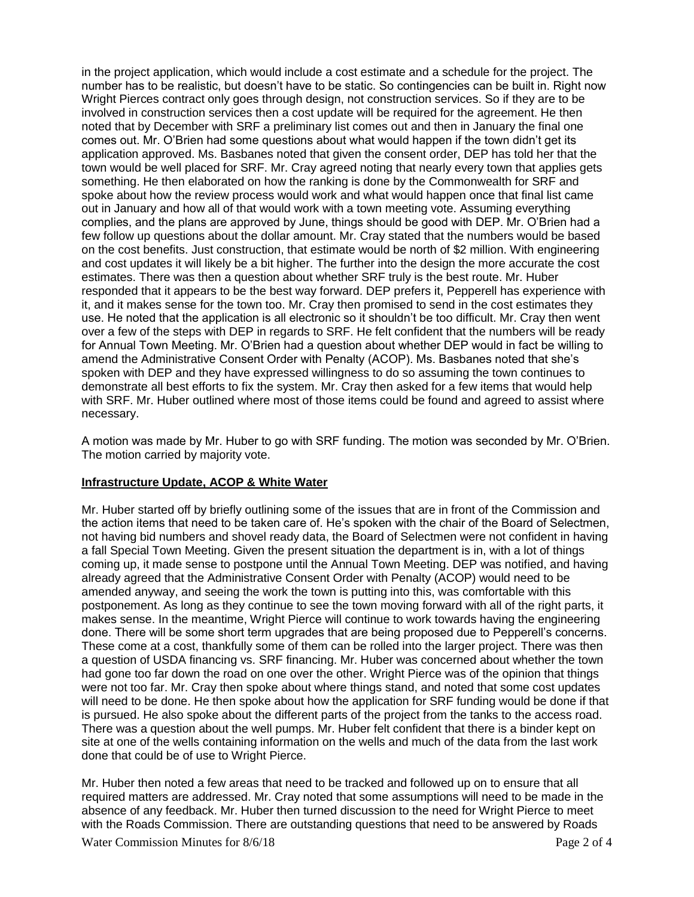in the project application, which would include a cost estimate and a schedule for the project. The number has to be realistic, but doesn't have to be static. So contingencies can be built in. Right now Wright Pierces contract only goes through design, not construction services. So if they are to be involved in construction services then a cost update will be required for the agreement. He then noted that by December with SRF a preliminary list comes out and then in January the final one comes out. Mr. O'Brien had some questions about what would happen if the town didn't get its application approved. Ms. Basbanes noted that given the consent order, DEP has told her that the town would be well placed for SRF. Mr. Cray agreed noting that nearly every town that applies gets something. He then elaborated on how the ranking is done by the Commonwealth for SRF and spoke about how the review process would work and what would happen once that final list came out in January and how all of that would work with a town meeting vote. Assuming everything complies, and the plans are approved by June, things should be good with DEP. Mr. O'Brien had a few follow up questions about the dollar amount. Mr. Cray stated that the numbers would be based on the cost benefits. Just construction, that estimate would be north of \$2 million. With engineering and cost updates it will likely be a bit higher. The further into the design the more accurate the cost estimates. There was then a question about whether SRF truly is the best route. Mr. Huber responded that it appears to be the best way forward. DEP prefers it, Pepperell has experience with it, and it makes sense for the town too. Mr. Cray then promised to send in the cost estimates they use. He noted that the application is all electronic so it shouldn't be too difficult. Mr. Cray then went over a few of the steps with DEP in regards to SRF. He felt confident that the numbers will be ready for Annual Town Meeting. Mr. O'Brien had a question about whether DEP would in fact be willing to amend the Administrative Consent Order with Penalty (ACOP). Ms. Basbanes noted that she's spoken with DEP and they have expressed willingness to do so assuming the town continues to demonstrate all best efforts to fix the system. Mr. Cray then asked for a few items that would help with SRF. Mr. Huber outlined where most of those items could be found and agreed to assist where necessary.

A motion was made by Mr. Huber to go with SRF funding. The motion was seconded by Mr. O'Brien. The motion carried by majority vote.

## **Infrastructure Update, ACOP & White Water**

Mr. Huber started off by briefly outlining some of the issues that are in front of the Commission and the action items that need to be taken care of. He's spoken with the chair of the Board of Selectmen, not having bid numbers and shovel ready data, the Board of Selectmen were not confident in having a fall Special Town Meeting. Given the present situation the department is in, with a lot of things coming up, it made sense to postpone until the Annual Town Meeting. DEP was notified, and having already agreed that the Administrative Consent Order with Penalty (ACOP) would need to be amended anyway, and seeing the work the town is putting into this, was comfortable with this postponement. As long as they continue to see the town moving forward with all of the right parts, it makes sense. In the meantime, Wright Pierce will continue to work towards having the engineering done. There will be some short term upgrades that are being proposed due to Pepperell's concerns. These come at a cost, thankfully some of them can be rolled into the larger project. There was then a question of USDA financing vs. SRF financing. Mr. Huber was concerned about whether the town had gone too far down the road on one over the other. Wright Pierce was of the opinion that things were not too far. Mr. Cray then spoke about where things stand, and noted that some cost updates will need to be done. He then spoke about how the application for SRF funding would be done if that is pursued. He also spoke about the different parts of the project from the tanks to the access road. There was a question about the well pumps. Mr. Huber felt confident that there is a binder kept on site at one of the wells containing information on the wells and much of the data from the last work done that could be of use to Wright Pierce.

Mr. Huber then noted a few areas that need to be tracked and followed up on to ensure that all required matters are addressed. Mr. Cray noted that some assumptions will need to be made in the absence of any feedback. Mr. Huber then turned discussion to the need for Wright Pierce to meet with the Roads Commission. There are outstanding questions that need to be answered by Roads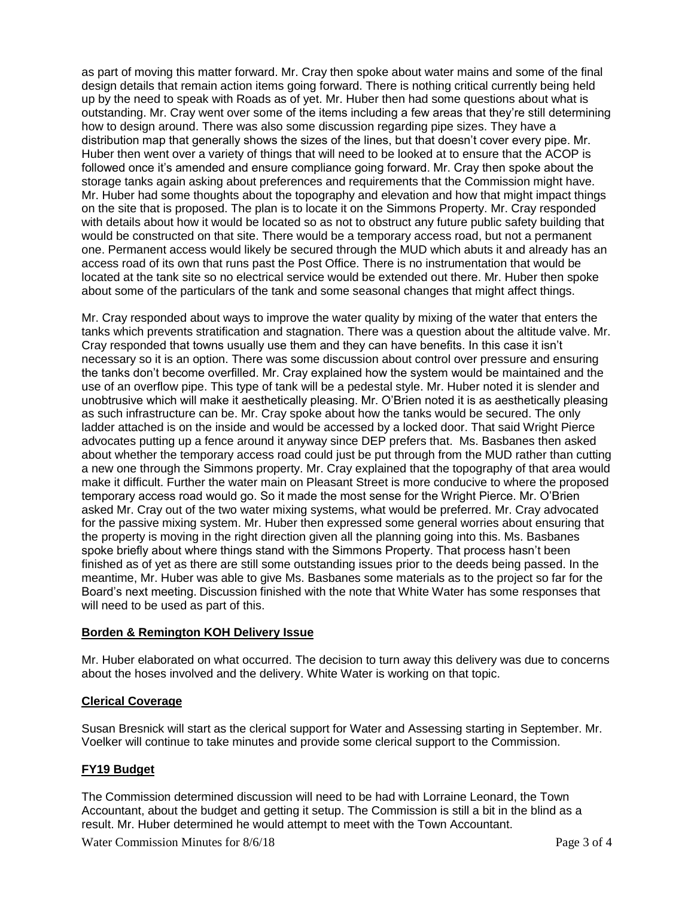as part of moving this matter forward. Mr. Cray then spoke about water mains and some of the final design details that remain action items going forward. There is nothing critical currently being held up by the need to speak with Roads as of yet. Mr. Huber then had some questions about what is outstanding. Mr. Cray went over some of the items including a few areas that they're still determining how to design around. There was also some discussion regarding pipe sizes. They have a distribution map that generally shows the sizes of the lines, but that doesn't cover every pipe. Mr. Huber then went over a variety of things that will need to be looked at to ensure that the ACOP is followed once it's amended and ensure compliance going forward. Mr. Cray then spoke about the storage tanks again asking about preferences and requirements that the Commission might have. Mr. Huber had some thoughts about the topography and elevation and how that might impact things on the site that is proposed. The plan is to locate it on the Simmons Property. Mr. Cray responded with details about how it would be located so as not to obstruct any future public safety building that would be constructed on that site. There would be a temporary access road, but not a permanent one. Permanent access would likely be secured through the MUD which abuts it and already has an access road of its own that runs past the Post Office. There is no instrumentation that would be located at the tank site so no electrical service would be extended out there. Mr. Huber then spoke about some of the particulars of the tank and some seasonal changes that might affect things.

Mr. Cray responded about ways to improve the water quality by mixing of the water that enters the tanks which prevents stratification and stagnation. There was a question about the altitude valve. Mr. Cray responded that towns usually use them and they can have benefits. In this case it isn't necessary so it is an option. There was some discussion about control over pressure and ensuring the tanks don't become overfilled. Mr. Cray explained how the system would be maintained and the use of an overflow pipe. This type of tank will be a pedestal style. Mr. Huber noted it is slender and unobtrusive which will make it aesthetically pleasing. Mr. O'Brien noted it is as aesthetically pleasing as such infrastructure can be. Mr. Cray spoke about how the tanks would be secured. The only ladder attached is on the inside and would be accessed by a locked door. That said Wright Pierce advocates putting up a fence around it anyway since DEP prefers that. Ms. Basbanes then asked about whether the temporary access road could just be put through from the MUD rather than cutting a new one through the Simmons property. Mr. Cray explained that the topography of that area would make it difficult. Further the water main on Pleasant Street is more conducive to where the proposed temporary access road would go. So it made the most sense for the Wright Pierce. Mr. O'Brien asked Mr. Cray out of the two water mixing systems, what would be preferred. Mr. Cray advocated for the passive mixing system. Mr. Huber then expressed some general worries about ensuring that the property is moving in the right direction given all the planning going into this. Ms. Basbanes spoke briefly about where things stand with the Simmons Property. That process hasn't been finished as of yet as there are still some outstanding issues prior to the deeds being passed. In the meantime, Mr. Huber was able to give Ms. Basbanes some materials as to the project so far for the Board's next meeting. Discussion finished with the note that White Water has some responses that will need to be used as part of this.

## **Borden & Remington KOH Delivery Issue**

Mr. Huber elaborated on what occurred. The decision to turn away this delivery was due to concerns about the hoses involved and the delivery. White Water is working on that topic.

## **Clerical Coverage**

Susan Bresnick will start as the clerical support for Water and Assessing starting in September. Mr. Voelker will continue to take minutes and provide some clerical support to the Commission.

## **FY19 Budget**

The Commission determined discussion will need to be had with Lorraine Leonard, the Town Accountant, about the budget and getting it setup. The Commission is still a bit in the blind as a result. Mr. Huber determined he would attempt to meet with the Town Accountant.

Water Commission Minutes for 8/6/18 Page 3 of 4